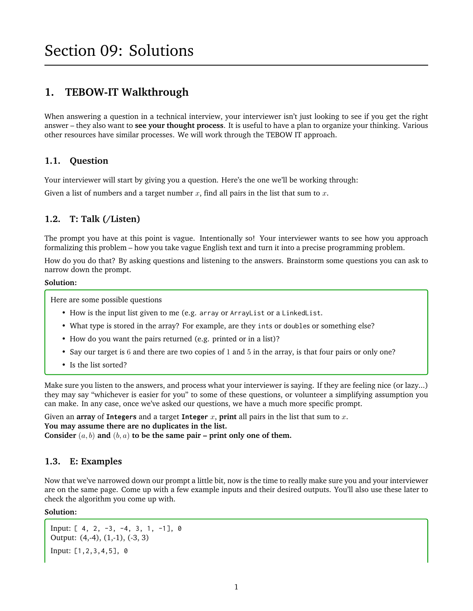# **1. TEBOW-IT Walkthrough**

When answering a question in a technical interview, your interviewer isn't just looking to see if you get the right answer – they also want to **see your thought process**. It is useful to have a plan to organize your thinking. Various other resources have similar processes. We will work through the TEBOW IT approach.

#### **1.1. Question**

Your interviewer will start by giving you a question. Here's the one we'll be working through:

Given a list of numbers and a target number  $x$ , find all pairs in the list that sum to  $x$ .

## **1.2. T: Talk (/Listen)**

The prompt you have at this point is vague. Intentionally so! Your interviewer wants to see how you approach formalizing this problem – how you take vague English text and turn it into a precise programming problem.

How do you do that? By asking questions and listening to the answers. Brainstorm some questions you can ask to narrow down the prompt.

#### **Solution:**

Here are some possible questions

- How is the input list given to me (e.g. array or ArrayList or a LinkedList.
- What type is stored in the array? For example, are they ints or doubles or something else?
- How do you want the pairs returned (e.g. printed or in a list)?
- Say our target is 6 and there are two copies of 1 and 5 in the array, is that four pairs or only one?
- Is the list sorted?

Make sure you listen to the answers, and process what your interviewer is saying. If they are feeling nice (or lazy...) they may say "whichever is easier for you" to some of these questions, or volunteer a simplifying assumption you can make. In any case, once we've asked our questions, we have a much more specific prompt.

Given an **array** of **Integers** and a target **Integer** x, **print** all pairs in the list that sum to x. **You may assume there are no duplicates in the list.** Consider  $(a, b)$  and  $(b, a)$  to be the same pair – print only one of them.

#### **1.3. E: Examples**

Now that we've narrowed down our prompt a little bit, now is the time to really make sure you and your interviewer are on the same page. Come up with a few example inputs and their desired outputs. You'll also use these later to check the algorithm you come up with.

#### **Solution:**

Input: [ 4, 2, -3, -4, 3, 1, -1], 0 Output: (4,-4), (1,-1), (-3, 3) Input: [1,2,3,4,5], 0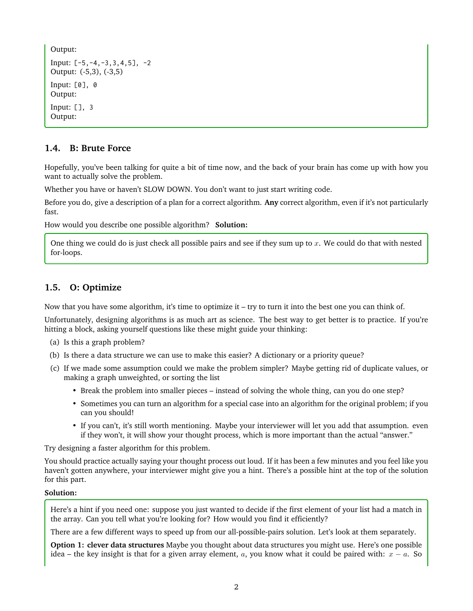Output: Input:  $[-5, -4, -3, 3, 4, 5]$ ,  $-2$ Output: (-5,3), (-3,5) Input: [0], 0 Output: Input: [], 3 Output:

## **1.4. B: Brute Force**

Hopefully, you've been talking for quite a bit of time now, and the back of your brain has come up with how you want to actually solve the problem.

Whether you have or haven't SLOW DOWN. You don't want to just start writing code.

Before you do, give a description of a plan for a correct algorithm. **Any** correct algorithm, even if it's not particularly fast.

How would you describe one possible algorithm? **Solution:**

One thing we could do is just check all possible pairs and see if they sum up to  $x$ . We could do that with nested for-loops.

## **1.5. O: Optimize**

Now that you have some algorithm, it's time to optimize it – try to turn it into the best one you can think of.

Unfortunately, designing algorithms is as much art as science. The best way to get better is to practice. If you're hitting a block, asking yourself questions like these might guide your thinking:

- (a) Is this a graph problem?
- (b) Is there a data structure we can use to make this easier? A dictionary or a priority queue?
- (c) If we made some assumption could we make the problem simpler? Maybe getting rid of duplicate values, or making a graph unweighted, or sorting the list
	- Break the problem into smaller pieces instead of solving the whole thing, can you do one step?
	- Sometimes you can turn an algorithm for a special case into an algorithm for the original problem; if you can you should!
	- If you can't, it's still worth mentioning. Maybe your interviewer will let you add that assumption. even if they won't, it will show your thought process, which is more important than the actual "answer."

Try designing a faster algorithm for this problem.

You should practice actually saying your thought process out loud. If it has been a few minutes and you feel like you haven't gotten anywhere, your interviewer might give you a hint. There's a possible hint at the top of the solution for this part.

#### **Solution:**

Here's a hint if you need one: suppose you just wanted to decide if the first element of your list had a match in the array. Can you tell what you're looking for? How would you find it efficiently?

There are a few different ways to speed up from our all-possible-pairs solution. Let's look at them separately.

**Option 1: clever data structures** Maybe you thought about data structures you might use. Here's one possible idea – the key insight is that for a given array element, a, you know what it could be paired with:  $x - a$ . So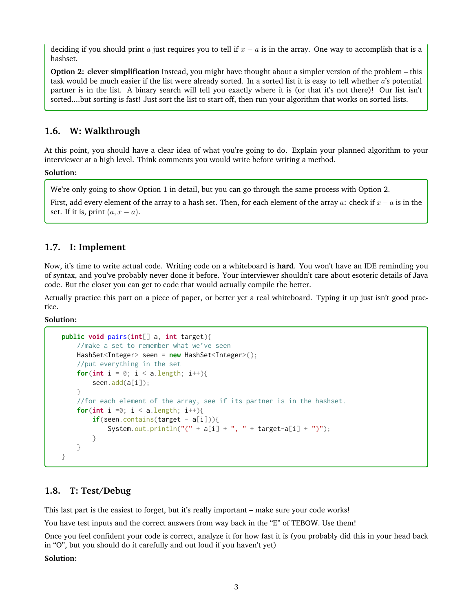deciding if you should print a just requires you to tell if  $x - a$  is in the array. One way to accomplish that is a hashset.

**Option 2: clever simplification** Instead, you might have thought about a simpler version of the problem – this task would be much easier if the list were already sorted. In a sorted list it is easy to tell whether  $a$ 's potential partner is in the list. A binary search will tell you exactly where it is (or that it's not there)! Our list isn't sorted....but sorting is fast! Just sort the list to start off, then run your algorithm that works on sorted lists.

## **1.6. W: Walkthrough**

At this point, you should have a clear idea of what you're going to do. Explain your planned algorithm to your interviewer at a high level. Think comments you would write before writing a method.

**Solution:**

We're only going to show Option 1 in detail, but you can go through the same process with Option 2.

First, add every element of the array to a hash set. Then, for each element of the array a: check if  $x - a$  is in the set. If it is, print  $(a, x - a)$ .

## **1.7. I: Implement**

Now, it's time to write actual code. Writing code on a whiteboard is **hard**. You won't have an IDE reminding you of syntax, and you've probably never done it before. Your interviewer shouldn't care about esoteric details of Java code. But the closer you can get to code that would actually compile the better.

Actually practice this part on a piece of paper, or better yet a real whiteboard. Typing it up just isn't good practice.

**Solution:**

```
public void pairs(int[] a, int target){
    //make a set to remember what we've seen
    HashSet<Integer> seen = new HashSet<Integer>();
    //put everything in the set
    for(int i = 0; i < a.length; i++){
        seen.add(a[i]);
    }
    //for each element of the array, see if its partner is in the hashset.
    for(int i =0; i < a. length; i^{++}){
        if(seen.contains(target - a[i])){
            System.out.println("(" + a[i] + ", " + target-a[i] + ")");
        }
    }
}
```
## **1.8. T: Test/Debug**

This last part is the easiest to forget, but it's really important – make sure your code works!

You have test inputs and the correct answers from way back in the "E" of TEBOW. Use them!

Once you feel confident your code is correct, analyze it for how fast it is (you probably did this in your head back in "O", but you should do it carefully and out loud if you haven't yet)

**Solution:**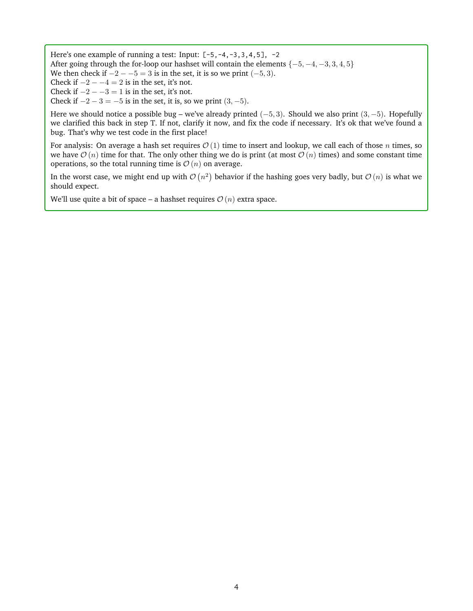Here's one example of running a test: Input:  $[-5, -4, -3, 3, 4, 5]$ ,  $-2$ After going through the for-loop our hashset will contain the elements  $\{-5, -4, -3, 3, 4, 5\}$ We then check if  $-2 - -5 = 3$  is in the set, it is so we print  $(-5, 3)$ . Check if  $-2 - -4 = 2$  is in the set, it's not. Check if  $-2 - -3 = 1$  is in the set, it's not.

Check if  $-2 - 3 = -5$  is in the set, it is, so we print  $(3, -5)$ .

Here we should notice a possible bug – we've already printed (−5, 3). Should we also print (3, −5). Hopefully we clarified this back in step T. If not, clarify it now, and fix the code if necessary. It's ok that we've found a bug. That's why we test code in the first place!

For analysis: On average a hash set requires  $O(1)$  time to insert and lookup, we call each of those n times, so we have  $\mathcal{O}(n)$  time for that. The only other thing we do is print (at most  $\mathcal{O}(n)$  times) and some constant time operations, so the total running time is  $\mathcal{O}(n)$  on average.

In the worst case, we might end up with  $\mathcal{O}(n^2)$  behavior if the hashing goes very badly, but  $\mathcal{O}(n)$  is what we should expect.

We'll use quite a bit of space – a hashset requires  $\mathcal{O}(n)$  extra space.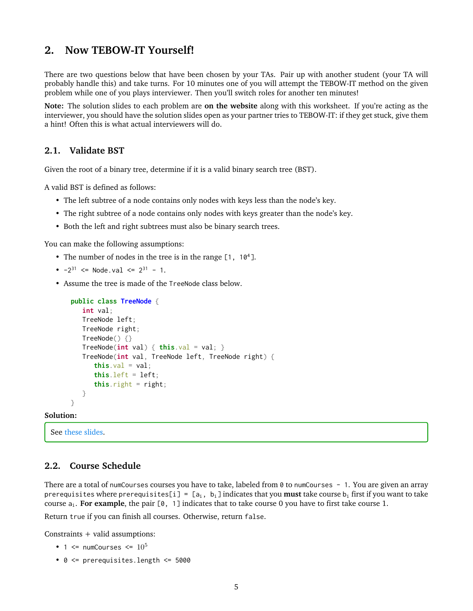# **2. Now TEBOW-IT Yourself!**

There are two questions below that have been chosen by your TAs. Pair up with another student (your TA will probably handle this) and take turns. For 10 minutes one of you will attempt the TEBOW-IT method on the given problem while one of you plays interviewer. Then you'll switch roles for another ten minutes!

**Note:** The solution slides to each problem are **on the website** along with this worksheet. If you're acting as the interviewer, you should have the solution slides open as your partner tries to TEBOW-IT: if they get stuck, give them a hint! Often this is what actual interviewers will do.

## **2.1. Validate BST**

Given the root of a binary tree, determine if it is a valid binary search tree (BST).

A valid BST is defined as follows:

- The left subtree of a node contains only nodes with keys less than the node's key.
- The right subtree of a node contains only nodes with keys greater than the node's key.
- Both the left and right subtrees must also be binary search trees.

You can make the following assumptions:

- The number of nodes in the tree is in the range [1, 10<sup>4</sup>].
- $-2^{31}$  <= Node.val <=  $2^{31}$  1.
- Assume the tree is made of the TreeNode class below.

```
public class TreeNode {
  int val;
  TreeNode left;
  TreeNode right;
  TreeNode() {}
  TreeNode(int val) { this.val = val; }TreeNode(int val, TreeNode left, TreeNode right) {
      this val = val;
      this. left = left:
      this. right = right;
  }
}
```
#### **Solution:**

See [these slides.](https://docs.google.com/presentation/d/1cCnRijeq3BDGGVQoZgP733wLiJMfYFIEcwRgT3YHx8s/edit?usp=sharing)

#### **2.2. Course Schedule**

There are a total of numCourses courses you have to take, labeled from 0 to numCourses - 1. You are given an array prerequisites where prerequisites[i] =  $[a_i, b_i]$  indicates that you **must** take course  $b_i$  first if you want to take course  $a_i$ . **For example**, the pair  $[0, 1]$  indicates that to take course 0 you have to first take course 1.

Return true if you can finish all courses. Otherwise, return false.

Constraints + valid assumptions:

- 1  $\leq$  numCourses  $\leq$  10<sup>5</sup>
- 0 <= prerequisites.length <= 5000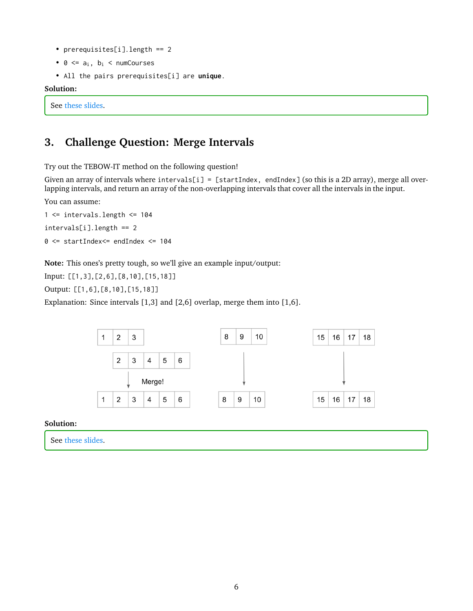- prerequisites[i].length == 2
- $0 \leq a_i$ ,  $b_i \leq$  numCourses
- All the pairs prerequisites[i] are **unique**.

#### **Solution:**

See [these slides.](https://docs.google.com/presentation/d/1nAZ9Tq0gjMs6pCex-roQJK_nBikQRr4a7KeDh4ohGBk/edit?usp=sharing)

# **3. Challenge Question: Merge Intervals**

Try out the TEBOW-IT method on the following question!

Given an array of intervals where intervals[i] = [startIndex, endIndex] (so this is a 2D array), merge all overlapping intervals, and return an array of the non-overlapping intervals that cover all the intervals in the input.

You can assume:

1 <= intervals.length <= 104 intervals[i].length == 2

0 <= startIndex<= endIndex <= 104

**Note:** This ones's pretty tough, so we'll give an example input/output:

Input: [[1,3],[2,6],[8,10],[15,18]]

Output: [[1,6],[8,10],[15,18]]

Explanation: Since intervals [1,3] and [2,6] overlap, merge them into [1,6].



**Solution:**

See [these slides.](https://docs.google.com/presentation/d/1I5jYdgqAM-80TgXVhPg1v5KexMk0Hj-ztxuqeVJgZBk/edit?usp=sharing)